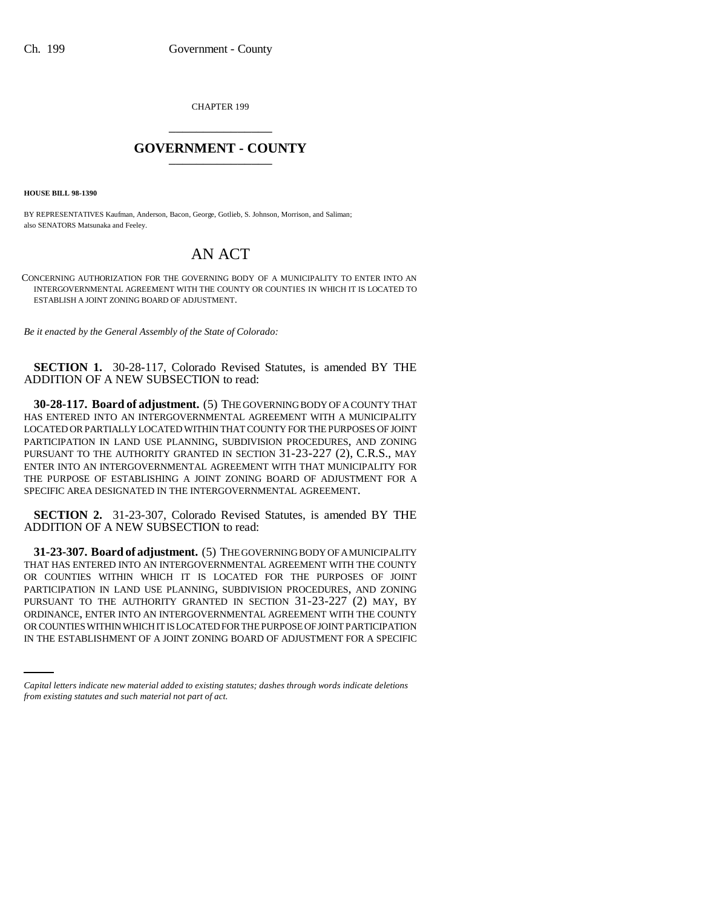CHAPTER 199 \_\_\_\_\_\_\_\_\_\_\_\_\_\_\_

## **GOVERNMENT - COUNTY** \_\_\_\_\_\_\_\_\_\_\_\_\_\_\_

**HOUSE BILL 98-1390**

BY REPRESENTATIVES Kaufman, Anderson, Bacon, George, Gotlieb, S. Johnson, Morrison, and Saliman; also SENATORS Matsunaka and Feeley.

## AN ACT

CONCERNING AUTHORIZATION FOR THE GOVERNING BODY OF A MUNICIPALITY TO ENTER INTO AN INTERGOVERNMENTAL AGREEMENT WITH THE COUNTY OR COUNTIES IN WHICH IT IS LOCATED TO ESTABLISH A JOINT ZONING BOARD OF ADJUSTMENT.

*Be it enacted by the General Assembly of the State of Colorado:*

**SECTION 1.** 30-28-117, Colorado Revised Statutes, is amended BY THE ADDITION OF A NEW SUBSECTION to read:

**30-28-117. Board of adjustment.** (5) THE GOVERNING BODY OF A COUNTY THAT HAS ENTERED INTO AN INTERGOVERNMENTAL AGREEMENT WITH A MUNICIPALITY LOCATED OR PARTIALLY LOCATED WITHIN THAT COUNTY FOR THE PURPOSES OF JOINT PARTICIPATION IN LAND USE PLANNING, SUBDIVISION PROCEDURES, AND ZONING PURSUANT TO THE AUTHORITY GRANTED IN SECTION 31-23-227 (2), C.R.S., MAY ENTER INTO AN INTERGOVERNMENTAL AGREEMENT WITH THAT MUNICIPALITY FOR THE PURPOSE OF ESTABLISHING A JOINT ZONING BOARD OF ADJUSTMENT FOR A SPECIFIC AREA DESIGNATED IN THE INTERGOVERNMENTAL AGREEMENT.

**SECTION 2.** 31-23-307, Colorado Revised Statutes, is amended BY THE ADDITION OF A NEW SUBSECTION to read:

ORDINANCE, ENTER INTO AN INTERGOVERNMENTAL AGREEMENT WITH THE COUNTY **31-23-307. Board of adjustment.** (5) THE GOVERNING BODY OF A MUNICIPALITY THAT HAS ENTERED INTO AN INTERGOVERNMENTAL AGREEMENT WITH THE COUNTY OR COUNTIES WITHIN WHICH IT IS LOCATED FOR THE PURPOSES OF JOINT PARTICIPATION IN LAND USE PLANNING, SUBDIVISION PROCEDURES, AND ZONING PURSUANT TO THE AUTHORITY GRANTED IN SECTION 31-23-227 (2) MAY, BY OR COUNTIES WITHIN WHICH IT IS LOCATED FOR THE PURPOSE OF JOINT PARTICIPATION IN THE ESTABLISHMENT OF A JOINT ZONING BOARD OF ADJUSTMENT FOR A SPECIFIC

*Capital letters indicate new material added to existing statutes; dashes through words indicate deletions from existing statutes and such material not part of act.*